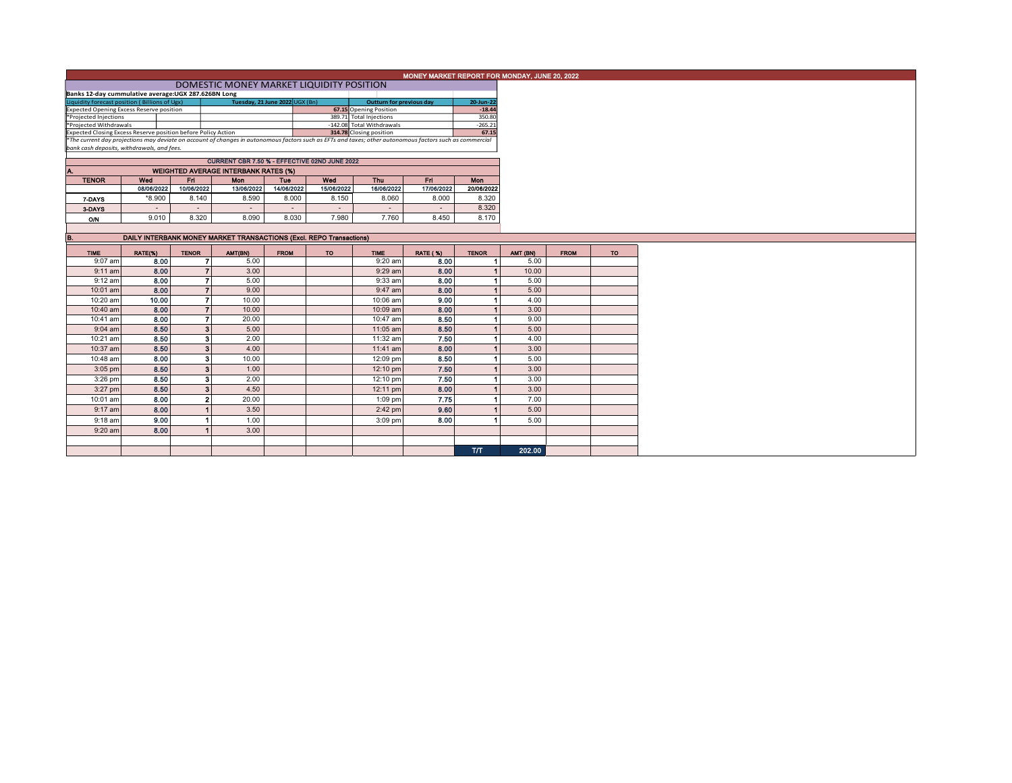|                                                                                                                                                          |                                                                                              | MONEY MARKET REPORT FOR MONDAY, JUNE 20, 2022 |                                                                     |             |            |                           |                 |              |          |             |           |
|----------------------------------------------------------------------------------------------------------------------------------------------------------|----------------------------------------------------------------------------------------------|-----------------------------------------------|---------------------------------------------------------------------|-------------|------------|---------------------------|-----------------|--------------|----------|-------------|-----------|
|                                                                                                                                                          |                                                                                              |                                               |                                                                     |             |            |                           |                 |              |          |             |           |
| Banks 12-day cummulative average:UGX 287.626BN Long                                                                                                      |                                                                                              |                                               |                                                                     |             |            |                           |                 |              |          |             |           |
| Tuesday, 21 June 2022 UGX (Bn)<br>Liquidity forecast position (Billions of Ugx)<br><b>Outturn for previous day</b><br>20-Jun-22                          |                                                                                              |                                               |                                                                     |             |            |                           |                 |              |          |             |           |
| <b>Expected Opening Excess Reserve position</b>                                                                                                          |                                                                                              |                                               |                                                                     |             |            | 67.15 Opening Position    |                 | $-18.44$     |          |             |           |
| *Projected Injections                                                                                                                                    |                                                                                              |                                               |                                                                     |             |            | 389.71 Total Injections   |                 | 350.80       |          |             |           |
| *Projected Withdrawals                                                                                                                                   |                                                                                              |                                               |                                                                     |             |            | -142.08 Total Withdrawals |                 | $-265.21$    |          |             |           |
| Expected Closing Excess Reserve position before Policy Action<br>314.78 Closing position                                                                 |                                                                                              |                                               |                                                                     |             |            |                           | 67.15           |              |          |             |           |
| *The current day projections may deviate on account of changes in autonomous factors such as EFTs and taxes; other autonomous factors such as commercial |                                                                                              |                                               |                                                                     |             |            |                           |                 |              |          |             |           |
| bank cash deposits, withdrawals, and fees.                                                                                                               |                                                                                              |                                               |                                                                     |             |            |                           |                 |              |          |             |           |
|                                                                                                                                                          |                                                                                              |                                               |                                                                     |             |            |                           |                 |              |          |             |           |
|                                                                                                                                                          | CURRENT CBR 7.50 % - EFFECTIVE 02ND JUNE 2022<br><b>WEIGHTED AVERAGE INTERBANK RATES (%)</b> |                                               |                                                                     |             |            |                           |                 |              |          |             |           |
|                                                                                                                                                          |                                                                                              |                                               |                                                                     |             |            |                           |                 |              |          |             |           |
| <b>TENOR</b>                                                                                                                                             | Wed                                                                                          | Fri.                                          | <b>Mon</b>                                                          | Tue         | Wod        | Thu                       | Fri.            | <b>Mon</b>   |          |             |           |
|                                                                                                                                                          | 08/06/2022                                                                                   | 10/06/2022                                    | 13/06/2022                                                          | 14/06/2022  | 15/06/2022 | 16/06/2022                | 17/06/2022      | 20/06/2022   |          |             |           |
| 7-DAYS                                                                                                                                                   | *8.900                                                                                       | 8.140                                         | 8.590                                                               | 8.000       | 8.150      | 8.060                     | 8.000           | 8.320        |          |             |           |
| 3-DAYS                                                                                                                                                   | $\sim$                                                                                       | $\sim$                                        | $\sim$                                                              | $\sim$      | $\sim$     | $\sim$                    | $\sim$          | 8.320        |          |             |           |
| O/N                                                                                                                                                      | 9.010                                                                                        | 8.320                                         | 8.090                                                               | 8.030       | 7.980      | 7.760                     | 8.450           | 8.170        |          |             |           |
|                                                                                                                                                          |                                                                                              |                                               |                                                                     |             |            |                           |                 |              |          |             |           |
| B.                                                                                                                                                       |                                                                                              |                                               |                                                                     |             |            |                           |                 |              |          |             |           |
|                                                                                                                                                          |                                                                                              |                                               | DAILY INTERBANK MONEY MARKET TRANSACTIONS (Excl. REPO Transactions) |             |            |                           |                 |              |          |             |           |
| <b>TIME</b>                                                                                                                                              | RATE(%)                                                                                      | <b>TENOR</b>                                  | AMT(BN)                                                             | <b>FROM</b> | <b>TO</b>  | <b>TIME</b>               | <b>RATE (%)</b> | <b>TENOR</b> | AMT (BN) | <b>FROM</b> | <b>TO</b> |
| 9:07 am                                                                                                                                                  | 8.00                                                                                         | 7                                             | 5.00                                                                |             |            | 9:20 am                   | 8.00            |              | 5.00     |             |           |
| $9:11$ am                                                                                                                                                | 8.00                                                                                         |                                               | $\overline{ }$<br>3.00                                              |             |            | $9:29$ am                 | 8.00            |              | 10.00    |             |           |
| 9:12 am                                                                                                                                                  | 8.00                                                                                         | $\overline{\phantom{a}}$                      | 5.00                                                                |             |            | 9:33 am                   | 8.00            |              | 5.00     |             |           |
| 10:01 am                                                                                                                                                 | 8.00                                                                                         |                                               | 9.00                                                                |             |            | 9:47 am                   | 8.00            |              | 5.00     |             |           |
| 10:20 am                                                                                                                                                 | 10.00                                                                                        | $\overline{\phantom{a}}$                      | 10.00                                                               |             |            | 10:06 am                  | 9.00            |              | 4.00     |             |           |
|                                                                                                                                                          |                                                                                              |                                               | $\overline{7}$                                                      |             |            |                           |                 |              |          |             |           |
| 10:40 am                                                                                                                                                 | 8.00                                                                                         |                                               | 10.00                                                               |             |            | 10:09 am                  | 8.00            |              | 3.00     |             |           |
| 10:41 am                                                                                                                                                 | 8.00                                                                                         |                                               | $\overline{7}$<br>20.00                                             |             |            | 10:47 am                  | 8.50            |              | 9.00     |             |           |
| $9:04$ am                                                                                                                                                | 8.50                                                                                         |                                               | 3 <sup>1</sup><br>5.00                                              |             |            | 11:05 am                  | 8.50            |              | 5.00     |             |           |
| 10:21 am                                                                                                                                                 | 8.50                                                                                         | 3                                             | 2.00                                                                |             |            | 11:32 am                  | 7.50            |              | 4.00     |             |           |
| 10:37 am                                                                                                                                                 | 8.50                                                                                         |                                               | 3 <sup>1</sup><br>4.00                                              |             |            | 11:41 am                  | 8.00            |              | 3.00     |             |           |
| 10:48 am                                                                                                                                                 | 8.00                                                                                         | з                                             | 10.00                                                               |             |            | 12:09 pm                  | 8.50            |              | 5.00     |             |           |
| $3:05$ pm                                                                                                                                                | 8.50                                                                                         | 3                                             | 1.00                                                                |             |            |                           | 7.50            |              | 3.00     |             |           |
|                                                                                                                                                          |                                                                                              |                                               |                                                                     |             |            | 12:10 pm                  |                 |              |          |             |           |
| $3:26$ pm                                                                                                                                                | 8.50                                                                                         |                                               | 2.00<br>3                                                           |             |            | 12:10 pm                  | 7.50            |              | 3.00     |             |           |
| 3:27 pm                                                                                                                                                  | 8.50                                                                                         | 3                                             | 4.50                                                                |             |            | 12:11 pm                  | 8.00            |              | 3.00     |             |           |
| 10:01 am                                                                                                                                                 | 8.00                                                                                         |                                               | $\overline{2}$<br>20.00                                             |             |            | 1:09 pm                   | 7.75            |              | 7.00     |             |           |
| $9:17$ am                                                                                                                                                | 8.00                                                                                         |                                               | 3.50                                                                |             |            | $2:42$ pm                 | 9.60            |              | 5.00     |             |           |
| $9:18$ am                                                                                                                                                | 9.00                                                                                         |                                               | 1.00                                                                |             |            | 3:09 pm                   | 8.00            |              | 5.00     |             |           |
| 9:20 am                                                                                                                                                  | 8.00                                                                                         |                                               | 3.00                                                                |             |            |                           |                 |              |          |             |           |
|                                                                                                                                                          |                                                                                              |                                               |                                                                     |             |            |                           |                 |              |          |             |           |
|                                                                                                                                                          |                                                                                              |                                               |                                                                     |             |            |                           |                 |              |          |             |           |
|                                                                                                                                                          |                                                                                              |                                               |                                                                     |             |            |                           |                 | <b>T/T</b>   | 202.00   |             |           |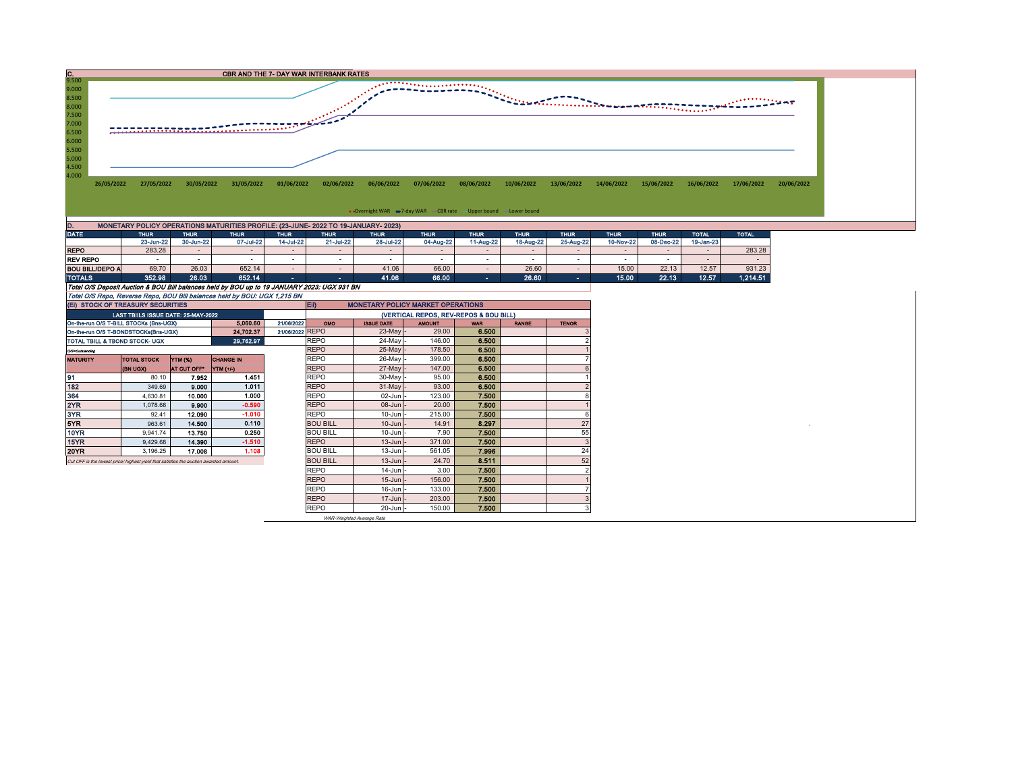

| DATE                                                                                        | <b>THUR</b> | <b>THUR</b> | <b>THUR</b> | <b>THUR</b>    | <b>THUR</b> | <b>THUR</b> | <b>THUR</b> | <b>THUR</b> | <b>THUR</b> | <b>THUR</b> | <b>THUR</b> | <b>THUR</b> | <b>TOTAL</b> | <b>TOTAL</b> |
|---------------------------------------------------------------------------------------------|-------------|-------------|-------------|----------------|-------------|-------------|-------------|-------------|-------------|-------------|-------------|-------------|--------------|--------------|
|                                                                                             | 23-Jun-22   | 30-Jun-22   | 07-Jul-22   | 14-Jul-22      | 21-Jul-22   | 28-Jul-22   | 04-Aug-22   | 11-Aug-22   | 18-Aug-22   | 25-Aug-22   | 10-Nov-22   | 08-Dec-22   | 19-Jan-23    |              |
| <b>REPO</b>                                                                                 | 283.28      |             |             |                |             |             |             |             |             |             |             |             |              | 283.28       |
| <b>REV REPO</b>                                                                             |             |             |             |                |             |             |             |             |             |             |             |             |              |              |
| <b>BOU BILL/DEPO A</b>                                                                      | 69.70       | 26.03       | 652.14      |                |             | 41.06       | 66.00       |             | 26.60       |             | 15.00       | 22.13       | 12.57        | 931.23       |
| <b>TOTALS</b>                                                                               | 352.98      | 26.03       | 652.14      | <b>Service</b> | . .         | 41.06       | 66.00       | <b>COL</b>  | 26.60       | $\sim$      | 15.00       | 22.13       | 12.57        | 1,214.51     |
| Total O/S Deposit Auction & BOU Bill balances held by BOU up to 19 JANUARY 2023: UGX 931 BN |             |             |             |                |             |             |             |             |             |             |             |             |              |              |
| Total O/S Repo, Reverse Repo, BOU Bill balances held by BOU: UGX 1,215 BN                   |             |             |             |                |             |             |             |             |             |             |             |             |              |              |

|                                                                                      |  | (EI) STOCK OF TREASURY SECURITIES      |             |           |                 | EII)<br><b>MONETARY POLICY MARKET OPERATIONS</b> |                   |               |            |              |              |  |  |  |
|--------------------------------------------------------------------------------------|--|----------------------------------------|-------------|-----------|-----------------|--------------------------------------------------|-------------------|---------------|------------|--------------|--------------|--|--|--|
|                                                                                      |  | LAST TBIILS ISSUE DATE: 25-MAY-2022    |             |           |                 | (VERTICAL REPOS, REV-REPOS & BOU BILL)           |                   |               |            |              |              |  |  |  |
|                                                                                      |  | On-the-run O/S T-BILL STOCKs (Bns-UGX) |             | 5.060.60  | 21/06/2022      | <b>OMO</b>                                       | <b>ISSUE DATE</b> | <b>AMOUNT</b> | <b>WAR</b> | <b>RANGE</b> | <b>TENOR</b> |  |  |  |
| 21/06/2022 REPO<br>24.702.37<br>On-the-run O/S T-BONDSTOCKs(Bns-UGX)                 |  |                                        |             |           |                 |                                                  | $23$ -May -       | 29.00         | 6.500      |              |              |  |  |  |
| 29.762.97<br>TOTAL TBILL & TBOND STOCK- UGX                                          |  |                                        |             |           |                 | <b>REPO</b>                                      | $24$ -May         | 146.00        | 6.500      |              |              |  |  |  |
| 0/3=Outstanding                                                                      |  |                                        |             |           |                 | <b>REPO</b>                                      | 25-May -          | 178.50        | 6.500      |              |              |  |  |  |
| YTM (%)<br><b>TOTAL STOCK</b><br><b>CHANGE IN</b><br><b>MATURITY</b>                 |  |                                        |             |           |                 | <b>REPO</b>                                      | 26-May -          | 399.00        | 6.500      |              |              |  |  |  |
|                                                                                      |  | (BN UGX)                               | AT CUT OFF* | YTM (+/-) |                 | <b>REPO</b>                                      | $27$ -May -       | 147.00        | 6,500      |              |              |  |  |  |
| 91                                                                                   |  | 80.10                                  | 7.952       | 1.451     |                 | <b>REPO</b>                                      | 30-May -          | 95.00         | 6.500      |              |              |  |  |  |
| 182                                                                                  |  | 349.69                                 | 9.000       | 1.011     |                 | <b>REPO</b>                                      | $31$ -May -       | 93.00         | 6.500      |              |              |  |  |  |
| 364                                                                                  |  | 4.630.81                               | 10.000      | 1.000     |                 | <b>REPO</b>                                      | $02$ -Jun $-$     | 123.00        | 7.500      |              |              |  |  |  |
| 2YR                                                                                  |  | 1.078.68                               | 9.900       | $-0.590$  |                 | <b>REPO</b>                                      | $08$ -Jun $-$     | 20.00         | 7.500      |              |              |  |  |  |
| 3YR                                                                                  |  | 92.41                                  | 12.090      | $-1.010$  |                 | <b>REPO</b>                                      | $10$ -Jun $-$     | 215.00        | 7.500      |              |              |  |  |  |
| 5YR.                                                                                 |  | 963.61                                 | 14,500      | 0.110     |                 | <b>BOU BILL</b>                                  | $10$ -Jun $-$     | 14.91         | 8.297      |              | 27           |  |  |  |
| 10YR                                                                                 |  | 9.941.74                               | 13.750      | 0.250     |                 | <b>BOU BILL</b>                                  | $10$ -Jun $-$     | 7.90          | 7.500      |              | 55           |  |  |  |
| 15YR                                                                                 |  | 9.429.68                               | 14.390      | $-1.510$  |                 | <b>REPO</b>                                      | $13$ -Jun $-$     | 371.00        | 7.500      |              |              |  |  |  |
| 20YR                                                                                 |  | 3,196.25                               | 17.008      | 1.108     |                 | <b>BOU BILL</b>                                  | $13$ -Jun $-$     | 561.05        | 7.996      |              | 24           |  |  |  |
| Cut OFF is the lowest price/highest vield that satisfies the auction awarded amount. |  |                                        |             |           | <b>BOU BILL</b> | $13$ -Jun $-$                                    | 24.70             | 8.511         |            | 52           |              |  |  |  |
|                                                                                      |  |                                        |             |           |                 | <b>REPO</b>                                      | $14$ -Jun $-$     | 3.00          | 7.500      |              |              |  |  |  |
|                                                                                      |  |                                        |             |           |                 | <b>REPO</b>                                      | $15$ -Jun $-$     | 156.00        | 7.500      |              |              |  |  |  |
|                                                                                      |  |                                        |             |           |                 | <b>REPO</b>                                      | $16$ -Jun $-$     | 133.00        | 7.500      |              |              |  |  |  |
|                                                                                      |  |                                        |             |           |                 | <b>REPO</b>                                      | $17 - Jun$ -      | 203.00        | 7.500      |              |              |  |  |  |
|                                                                                      |  |                                        |             |           |                 | <b>REPO</b>                                      | $20 - Jun$ -      | 150.00        | 7.500      |              |              |  |  |  |

WAR-Weighted Average Rate